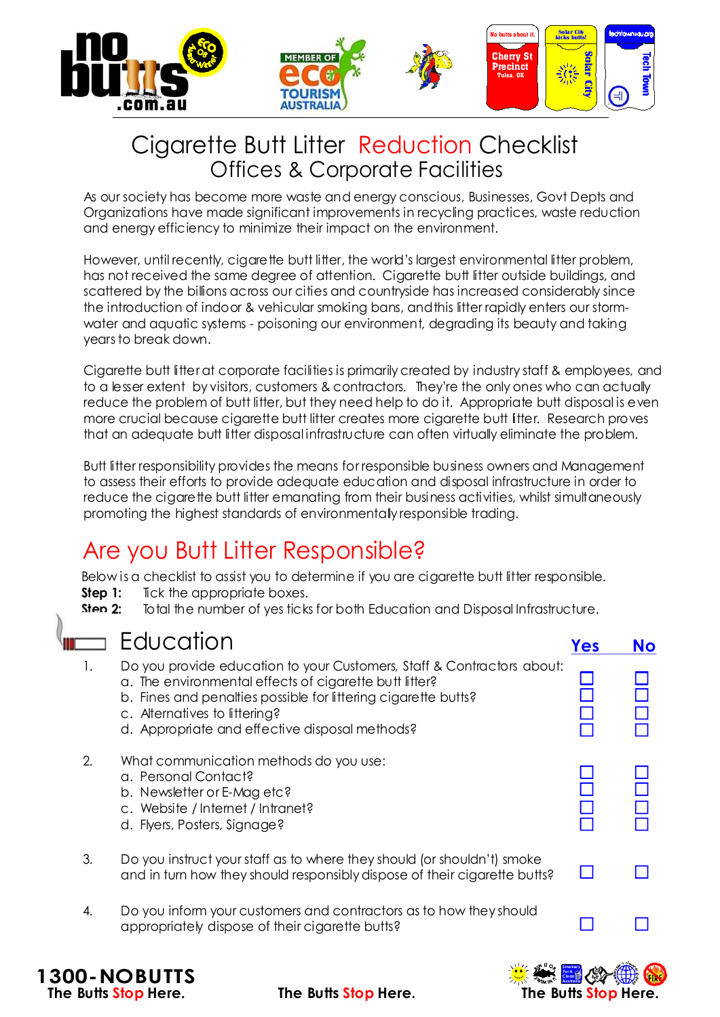

## Cigarette Butt Litter Reduction Checklist Offices & Corporate Facilities

As our society has become more waste and energy conscious, Businesses, Govt Depts and Organizations have made significant improvements in recycling practices, waste reduction and energy efficiency to minimize their impact on the environment.

However, until recently, cigarette butt litter, the world's largest environmental litter problem, has not received the same degree of attention. Cigarette butt litter outside buildings, and scattered by the billions across our cities and countryside has increased considerably since the introduction of indoor & vehicular smoking bans, andthis litter rapidly enters our stormwater and aquatic systems - poisoning our environment, degrading its beauty and taking years to break down.

Cigarette butt litter at corporate facilities is primarily created by industry staff & employees, and to a lesser extent by visitors, customers & contractors. They're the only ones who can actually reduce the problem of butt litter, but they need help to do it. Appropriate butt disposal is even more crucial because cigarette butt litter creates more cigarette butt litter. Research proves that an adequate butt litter disposal infrastructure can often virtually eliminate the problem.

Butt litter responsibility provides the means for responsible business owners and Management to assess their efforts to provide adequate education and disposal infrastructure in order to reduce the cigarette butt litter emanating from their business activities, whilst simultaneously promoting the highest standards of environmentally responsible trading.

# Are you Butt Litter Responsible?

Below is a checklist to assist you to determine if you are cigarette butt litter responsible.

- Tick the appropriate boxes. **Step 1:**
- Total the number of yes ticks for both Education and Disposal Infrastructure. **Step 2:**

#### Education

**1300-NOBUTTS**

|    | EQUCQTION                                                                                                                                                                                                                                                                             | Yes | <b>No</b> |
|----|---------------------------------------------------------------------------------------------------------------------------------------------------------------------------------------------------------------------------------------------------------------------------------------|-----|-----------|
| 1. | Do you provide education to your Customers, Staff & Contractors about:<br>a. The environmental effects of cigarette butt litter?<br>b. Fines and penalties possible for littering cigarette butts?<br>c. Alternatives to littering?<br>d. Appropriate and effective disposal methods? |     |           |
| 2. | What communication methods do you use:<br>a. Personal Contact?<br>b. Newsletter or E-Mag etc?<br>c. Website / Internet / Intranet?<br>d. Flyers, Posters, Signage?                                                                                                                    |     |           |
| 3. | Do you instruct your staff as to where they should (or shouldn't) smoke<br>and in turn how they should responsibly dispose of their cigarette butts?                                                                                                                                  |     |           |
| 4. | Do you inform your customers and contractors as to how they should<br>appropriately dispose of their cigarette butts?                                                                                                                                                                 |     |           |